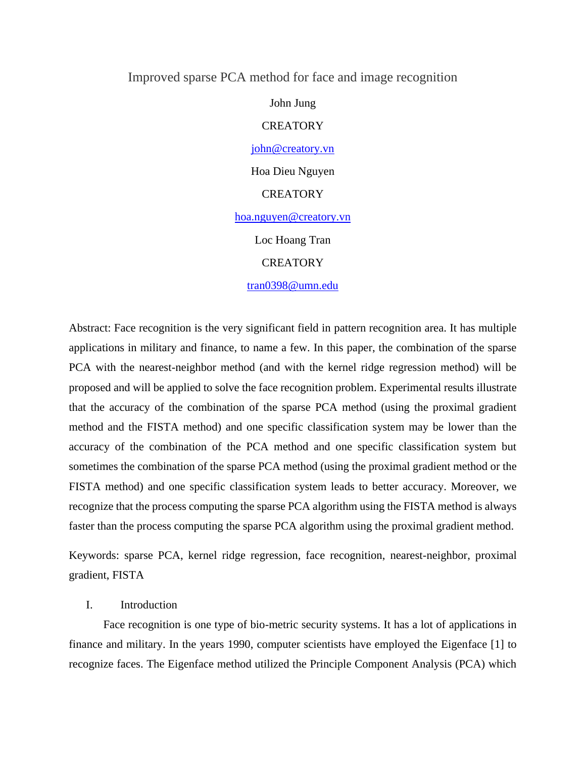# Improved sparse PCA method for face and image recognition

John Jung **CREATORY** [john@creatory.vn](mailto:john@creatory.vn) Hoa Dieu Nguyen **CREATORY** [hoa.nguyen@creatory.vn](mailto:hoa.nguyen@creatory.vn) Loc Hoang Tran

#### **CREATORY**

#### tran0398@umn.edu

Abstract: Face recognition is the very significant field in pattern recognition area. It has multiple applications in military and finance, to name a few. In this paper, the combination of the sparse PCA with the nearest-neighbor method (and with the kernel ridge regression method) will be proposed and will be applied to solve the face recognition problem. Experimental results illustrate that the accuracy of the combination of the sparse PCA method (using the proximal gradient method and the FISTA method) and one specific classification system may be lower than the accuracy of the combination of the PCA method and one specific classification system but sometimes the combination of the sparse PCA method (using the proximal gradient method or the FISTA method) and one specific classification system leads to better accuracy. Moreover, we recognize that the process computing the sparse PCA algorithm using the FISTA method is always faster than the process computing the sparse PCA algorithm using the proximal gradient method.

Keywords: sparse PCA, kernel ridge regression, face recognition, nearest-neighbor, proximal gradient, FISTA

### I. Introduction

Face recognition is one type of bio-metric security systems. It has a lot of applications in finance and military. In the years 1990, computer scientists have employed the Eigenface [1] to recognize faces. The Eigenface method utilized the Principle Component Analysis (PCA) which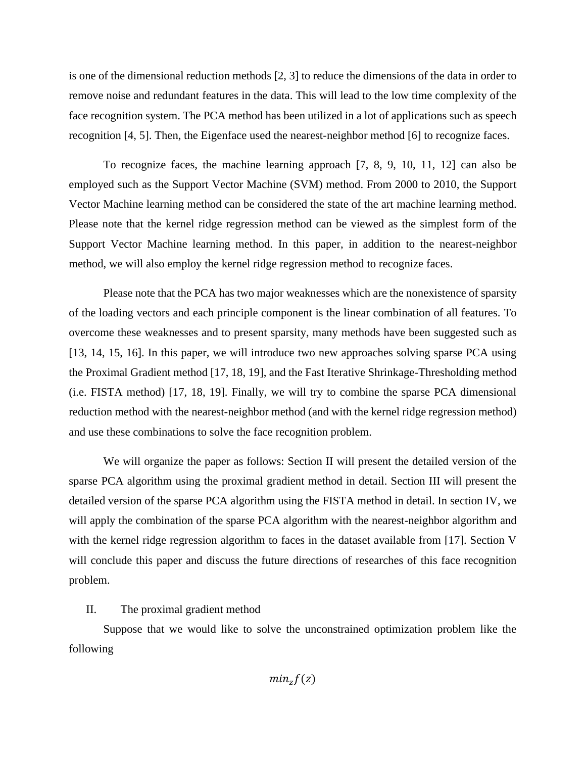is one of the dimensional reduction methods [2, 3] to reduce the dimensions of the data in order to remove noise and redundant features in the data. This will lead to the low time complexity of the face recognition system. The PCA method has been utilized in a lot of applications such as speech recognition [4, 5]. Then, the Eigenface used the nearest-neighbor method [6] to recognize faces.

To recognize faces, the machine learning approach [7, 8, 9, 10, 11, 12] can also be employed such as the Support Vector Machine (SVM) method. From 2000 to 2010, the Support Vector Machine learning method can be considered the state of the art machine learning method. Please note that the kernel ridge regression method can be viewed as the simplest form of the Support Vector Machine learning method. In this paper, in addition to the nearest-neighbor method, we will also employ the kernel ridge regression method to recognize faces.

Please note that the PCA has two major weaknesses which are the nonexistence of sparsity of the loading vectors and each principle component is the linear combination of all features. To overcome these weaknesses and to present sparsity, many methods have been suggested such as [13, 14, 15, 16]. In this paper, we will introduce two new approaches solving sparse PCA using the Proximal Gradient method [17, 18, 19], and the Fast Iterative Shrinkage-Thresholding method (i.e. FISTA method) [17, 18, 19]. Finally, we will try to combine the sparse PCA dimensional reduction method with the nearest-neighbor method (and with the kernel ridge regression method) and use these combinations to solve the face recognition problem.

We will organize the paper as follows: Section II will present the detailed version of the sparse PCA algorithm using the proximal gradient method in detail. Section III will present the detailed version of the sparse PCA algorithm using the FISTA method in detail. In section IV, we will apply the combination of the sparse PCA algorithm with the nearest-neighbor algorithm and with the kernel ridge regression algorithm to faces in the dataset available from [17]. Section V will conclude this paper and discuss the future directions of researches of this face recognition problem.

# II. The proximal gradient method

Suppose that we would like to solve the unconstrained optimization problem like the following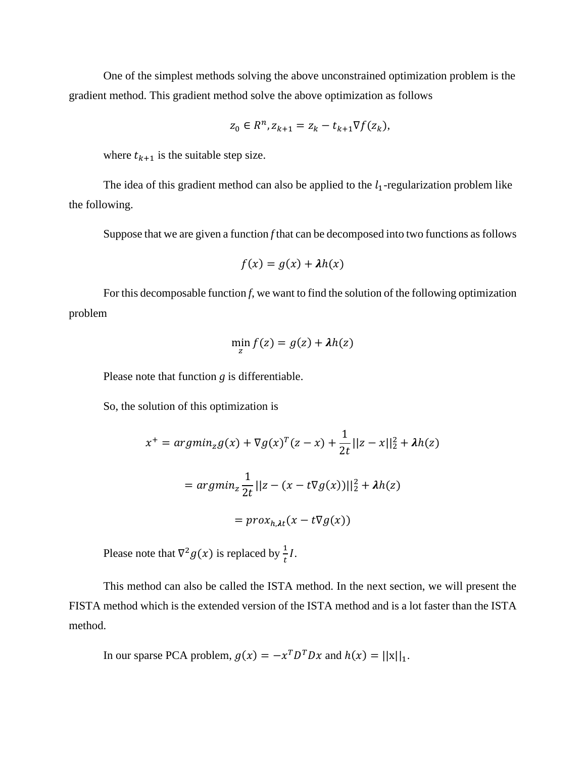One of the simplest methods solving the above unconstrained optimization problem is the gradient method. This gradient method solve the above optimization as follows

$$
z_0 \in R^n, z_{k+1} = z_k - t_{k+1} \nabla f(z_k),
$$

where  $t_{k+1}$  is the suitable step size.

The idea of this gradient method can also be applied to the  $l_1$ -regularization problem like the following.

Suppose that we are given a function *f* that can be decomposed into two functions as follows

$$
f(x) = g(x) + \lambda h(x)
$$

For this decomposable function *f*, we want to find the solution of the following optimization problem

$$
\min_{z} f(z) = g(z) + \lambda h(z)
$$

Please note that function *g* is differentiable.

So, the solution of this optimization is

$$
x^{+} = argmin_{z} g(x) + \nabla g(x)^{T} (z - x) + \frac{1}{2t} ||z - x||_{2}^{2} + \lambda h(z)
$$

$$
= argmin_{z} \frac{1}{2t} ||z - (x - t\nabla g(x))||_{2}^{2} + \lambda h(z)
$$

$$
= prox_{h, \lambda t} (x - t\nabla g(x))
$$

Please note that  $\nabla^2 g(x)$  is replaced by  $\frac{1}{t}$ *I*.

This method can also be called the ISTA method. In the next section, we will present the FISTA method which is the extended version of the ISTA method and is a lot faster than the ISTA method.

In our sparse PCA problem, 
$$
g(x) = -x^T D^T D x
$$
 and  $h(x) = ||x||_1$ .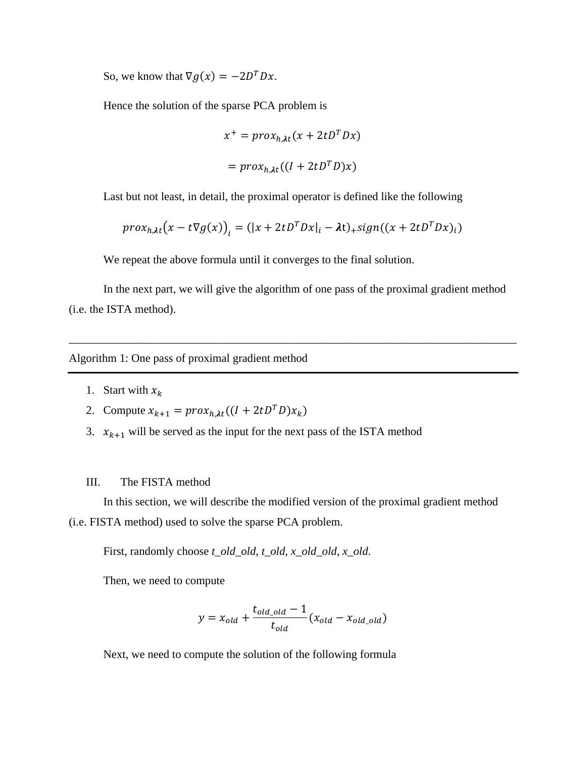So, we know that  $\nabla g(x) = -2D^T D x$ .

Hence the solution of the sparse PCA problem is

$$
x^{+} = prox_{h, \lambda t} (x + 2tD^{T}Dx)
$$

$$
= prox_{h, \lambda t} ((I + 2tD^{T}D)x)
$$

Last but not least, in detail, the proximal operator is defined like the following

$$
prox_{h, \lambda t} (x - t \nabla g(x))_i = (|x + 2tD^T Dx|_i - \lambda t)_+ sign((x + 2tD^T Dx)_i)
$$

We repeat the above formula until it converges to the final solution.

In the next part, we will give the algorithm of one pass of the proximal gradient method (i.e. the ISTA method).

\_\_\_\_\_\_\_\_\_\_\_\_\_\_\_\_\_\_\_\_\_\_\_\_\_\_\_\_\_\_\_\_\_\_\_\_\_\_\_\_\_\_\_\_\_\_\_\_\_\_\_\_\_\_\_\_\_\_\_\_\_\_\_\_\_\_\_\_\_\_\_\_\_\_\_\_\_\_

Algorithm 1: One pass of proximal gradient method

- 1. Start with  $x_k$
- 2. Compute  $x_{k+1} = prox_{h,\lambda t} ((I + 2tD^T D)x_k)$
- 3.  $x_{k+1}$  will be served as the input for the next pass of the ISTA method

#### III. The FISTA method

In this section, we will describe the modified version of the proximal gradient method (i.e. FISTA method) used to solve the sparse PCA problem.

First, randomly choose *t\_old\_old*, *t\_old*, *x\_old\_old*, *x\_old*.

Then, we need to compute

$$
y = x_{old} + \frac{t_{old\_old} - 1}{t_{old}} (x_{old} - x_{old\_old})
$$

Next, we need to compute the solution of the following formula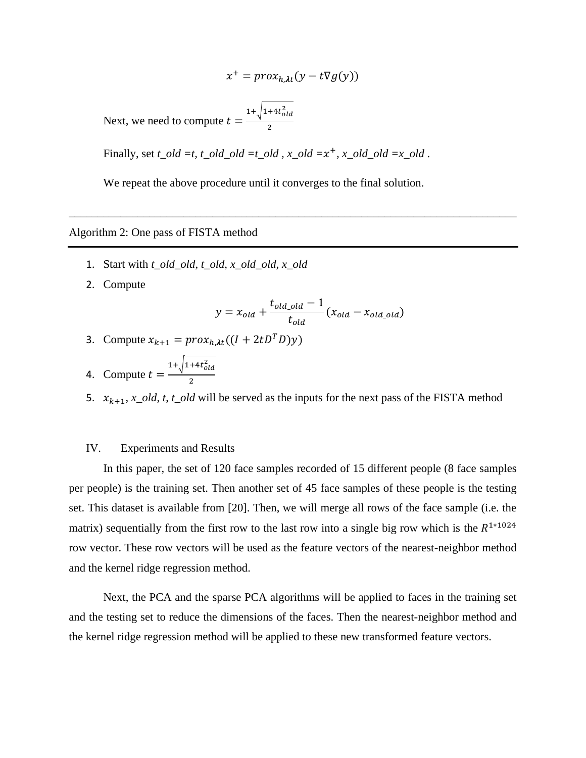$$
x^{+} = prox_{h, \lambda t} (y - t \nabla g(y))
$$
  
Next, we need to compute  $t = \frac{1 + \sqrt{1 + 4t_{old}^{2}}}{2}$ 

Finally, set  $t\_old = t$ ,  $t\_old\_old = t\_old$ ,  $x\_old = x^+, x\_old\_old = x\_old$ .

We repeat the above procedure until it converges to the final solution.

\_\_\_\_\_\_\_\_\_\_\_\_\_\_\_\_\_\_\_\_\_\_\_\_\_\_\_\_\_\_\_\_\_\_\_\_\_\_\_\_\_\_\_\_\_\_\_\_\_\_\_\_\_\_\_\_\_\_\_\_\_\_\_\_\_\_\_\_\_\_\_\_\_\_\_\_\_\_

# Algorithm 2: One pass of FISTA method

- 1. Start with *t\_old\_old*, *t\_old*, *x\_old\_old*, *x\_old*
- 2. Compute

$$
y = x_{old} + \frac{t_{old\_old} - 1}{t_{old}} (x_{old} - x_{old\_old})
$$

3. Compute 
$$
x_{k+1} = prox_{h,\lambda t} ((I + 2tD^T D)y)
$$

4. Compute 
$$
t = \frac{1 + \sqrt{1 + 4t_{old}^2}}{2}
$$

5.  $x_{k+1}$ , *x\_old*, *t*, *t\_old* will be served as the inputs for the next pass of the FISTA method

# IV. Experiments and Results

In this paper, the set of 120 face samples recorded of 15 different people (8 face samples per people) is the training set. Then another set of 45 face samples of these people is the testing set. This dataset is available from [20]. Then, we will merge all rows of the face sample (i.e. the matrix) sequentially from the first row to the last row into a single big row which is the  $R^{1*1024}$ row vector. These row vectors will be used as the feature vectors of the nearest-neighbor method and the kernel ridge regression method.

Next, the PCA and the sparse PCA algorithms will be applied to faces in the training set and the testing set to reduce the dimensions of the faces. Then the nearest-neighbor method and the kernel ridge regression method will be applied to these new transformed feature vectors.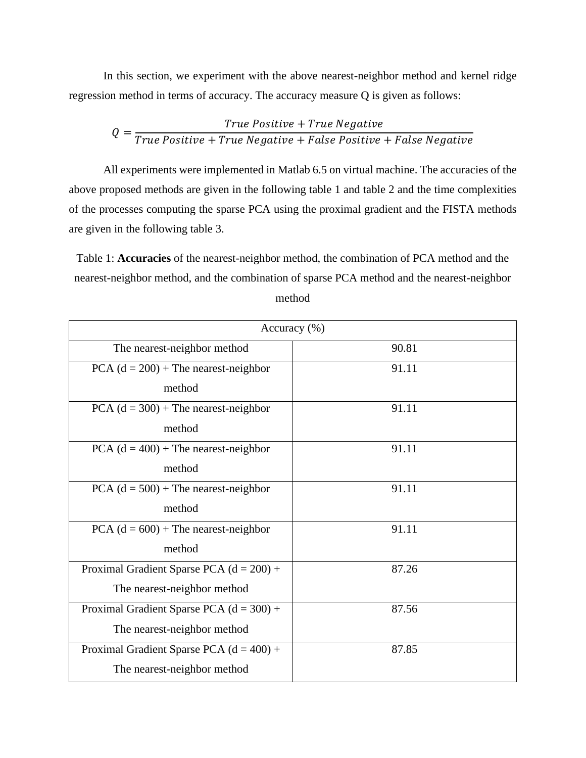In this section, we experiment with the above nearest-neighbor method and kernel ridge regression method in terms of accuracy. The accuracy measure Q is given as follows:

$$
Q = \frac{True \ Positive + True \ Negative}{True \ Positive + True \ Negative + False \ Positive \ + False}
$$

All experiments were implemented in Matlab 6.5 on virtual machine. The accuracies of the above proposed methods are given in the following table 1 and table 2 and the time complexities of the processes computing the sparse PCA using the proximal gradient and the FISTA methods are given in the following table 3.

Table 1: **Accuracies** of the nearest-neighbor method, the combination of PCA method and the nearest-neighbor method, and the combination of sparse PCA method and the nearest-neighbor method

| Accuracy (%)                               |       |
|--------------------------------------------|-------|
| The nearest-neighbor method                | 90.81 |
| PCA $(d = 200)$ + The nearest-neighbor     | 91.11 |
| method                                     |       |
| PCA $(d = 300)$ + The nearest-neighbor     | 91.11 |
| method                                     |       |
| $PCA (d = 400) + The nearest-neighbor$     | 91.11 |
| method                                     |       |
| PCA $(d = 500)$ + The nearest-neighbor     | 91.11 |
| method                                     |       |
| PCA $(d = 600)$ + The nearest-neighbor     | 91.11 |
| method                                     |       |
| Proximal Gradient Sparse PCA $(d = 200) +$ | 87.26 |
| The nearest-neighbor method                |       |
| Proximal Gradient Sparse PCA $(d = 300) +$ | 87.56 |
| The nearest-neighbor method                |       |
| Proximal Gradient Sparse PCA $(d = 400) +$ | 87.85 |
| The nearest-neighbor method                |       |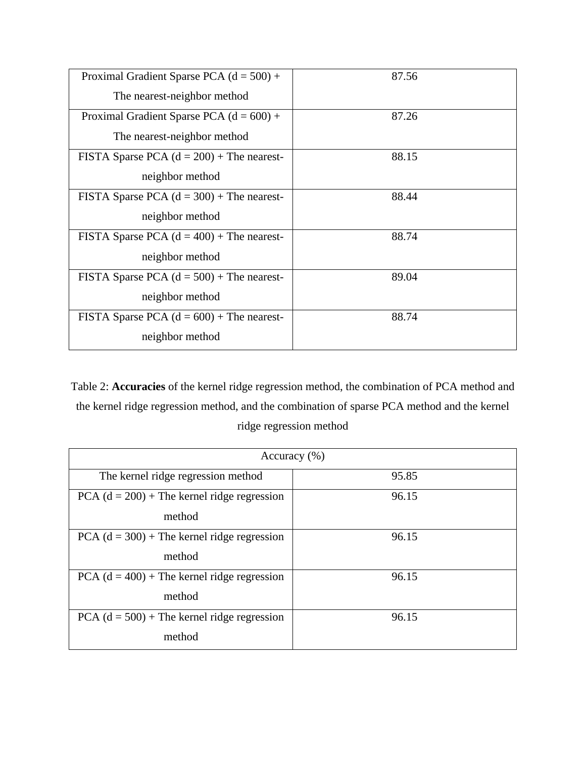| Proximal Gradient Sparse PCA $(d = 500) +$<br>The nearest-neighbor method | 87.56 |
|---------------------------------------------------------------------------|-------|
| Proximal Gradient Sparse PCA $(d = 600) +$                                | 87.26 |
| The nearest-neighbor method                                               |       |
| FISTA Sparse PCA $(d = 200)$ + The nearest-                               | 88.15 |
| neighbor method                                                           |       |
| FISTA Sparse PCA $(d = 300)$ + The nearest-                               | 88.44 |
| neighbor method                                                           |       |
| FISTA Sparse PCA $(d = 400)$ + The nearest-                               | 88.74 |
| neighbor method                                                           |       |
| FISTA Sparse PCA $(d = 500)$ + The nearest-                               | 89.04 |
| neighbor method                                                           |       |
| FISTA Sparse PCA $(d = 600)$ + The nearest-                               | 88.74 |
| neighbor method                                                           |       |

Table 2: **Accuracies** of the kernel ridge regression method, the combination of PCA method and the kernel ridge regression method, and the combination of sparse PCA method and the kernel ridge regression method

| Accuracy $(\% )$                                        |       |  |
|---------------------------------------------------------|-------|--|
| The kernel ridge regression method                      | 95.85 |  |
| $PCA (d = 200) + The Kernel ridge regression$<br>method | 96.15 |  |
| $PCA (d = 300) + The Kernel ridge regression$<br>method | 96.15 |  |
| $PCA (d = 400) + The Kernel ridge regression$<br>method | 96.15 |  |
| $PCA (d = 500) + The Kernel ridge regression$<br>method | 96.15 |  |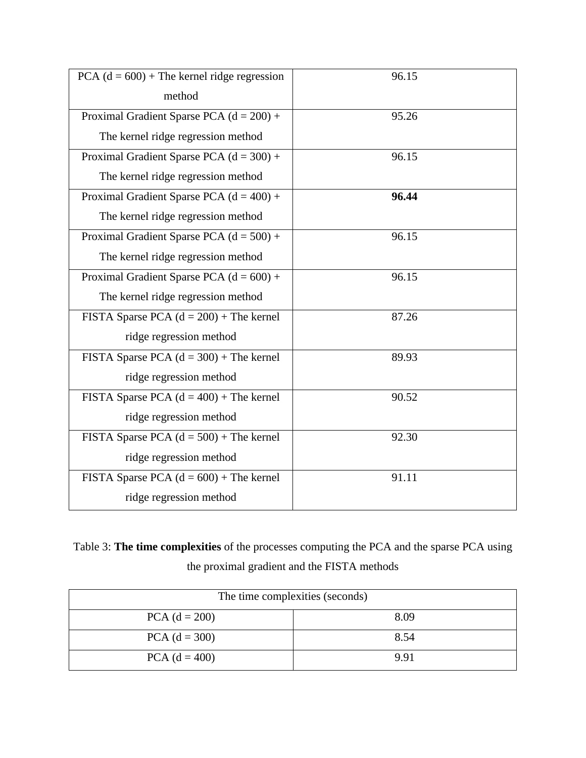| PCA $(d = 600)$ + The kernel ridge regression | 96.15 |
|-----------------------------------------------|-------|
| method                                        |       |
| Proximal Gradient Sparse PCA $(d = 200) +$    | 95.26 |
| The kernel ridge regression method            |       |
| Proximal Gradient Sparse PCA $(d = 300) +$    | 96.15 |
| The kernel ridge regression method            |       |
| Proximal Gradient Sparse PCA $(d = 400) +$    | 96.44 |
| The kernel ridge regression method            |       |
| Proximal Gradient Sparse PCA $(d = 500) +$    | 96.15 |
| The kernel ridge regression method            |       |
| Proximal Gradient Sparse PCA $(d = 600) +$    | 96.15 |
| The kernel ridge regression method            |       |
| FISTA Sparse PCA $(d = 200)$ + The kernel     | 87.26 |
| ridge regression method                       |       |
| FISTA Sparse PCA $(d = 300)$ + The kernel     | 89.93 |
| ridge regression method                       |       |
| FISTA Sparse PCA $(d = 400)$ + The kernel     | 90.52 |
| ridge regression method                       |       |
| FISTA Sparse PCA $(d = 500)$ + The kernel     | 92.30 |
| ridge regression method                       |       |
| FISTA Sparse PCA $(d = 600)$ + The kernel     | 91.11 |
| ridge regression method                       |       |

Table 3: **The time complexities** of the processes computing the PCA and the sparse PCA using the proximal gradient and the FISTA methods

| The time complexities (seconds) |      |  |
|---------------------------------|------|--|
| $PCA (d = 200)$                 | 8.09 |  |
| $PCA (d = 300)$                 | 8.54 |  |
| $PCA (d = 400)$                 | 9.91 |  |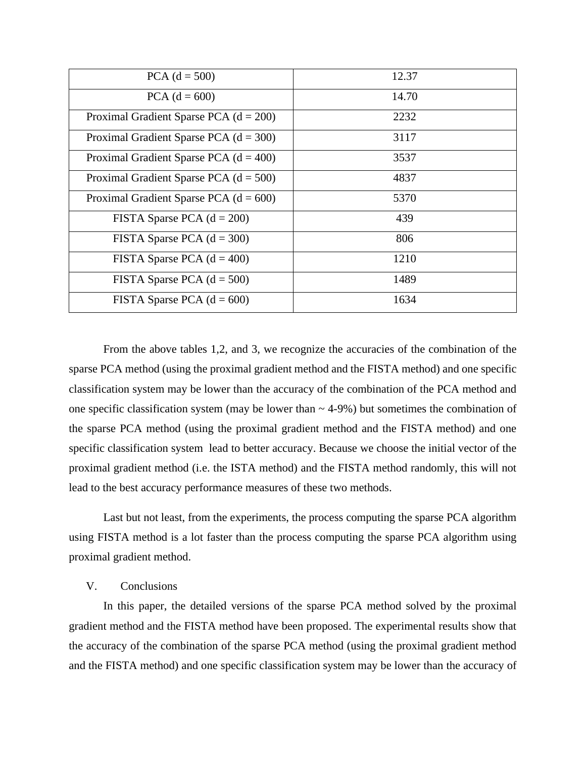| $PCA (d = 500)$                          | 12.37 |
|------------------------------------------|-------|
| $PCA (d = 600)$                          | 14.70 |
| Proximal Gradient Sparse PCA $(d = 200)$ | 2232  |
| Proximal Gradient Sparse PCA $(d = 300)$ | 3117  |
| Proximal Gradient Sparse PCA $(d = 400)$ | 3537  |
| Proximal Gradient Sparse PCA $(d = 500)$ | 4837  |
| Proximal Gradient Sparse PCA $(d = 600)$ | 5370  |
| FISTA Sparse PCA $(d = 200)$             | 439   |
| FISTA Sparse PCA $(d = 300)$             | 806   |
| FISTA Sparse PCA $(d = 400)$             | 1210  |
| FISTA Sparse PCA $(d = 500)$             | 1489  |
| FISTA Sparse PCA $(d = 600)$             | 1634  |

From the above tables 1,2, and 3, we recognize the accuracies of the combination of the sparse PCA method (using the proximal gradient method and the FISTA method) and one specific classification system may be lower than the accuracy of the combination of the PCA method and one specific classification system (may be lower than  $\sim$  4-9%) but sometimes the combination of the sparse PCA method (using the proximal gradient method and the FISTA method) and one specific classification system lead to better accuracy. Because we choose the initial vector of the proximal gradient method (i.e. the ISTA method) and the FISTA method randomly, this will not lead to the best accuracy performance measures of these two methods.

Last but not least, from the experiments, the process computing the sparse PCA algorithm using FISTA method is a lot faster than the process computing the sparse PCA algorithm using proximal gradient method.

# V. Conclusions

In this paper, the detailed versions of the sparse PCA method solved by the proximal gradient method and the FISTA method have been proposed. The experimental results show that the accuracy of the combination of the sparse PCA method (using the proximal gradient method and the FISTA method) and one specific classification system may be lower than the accuracy of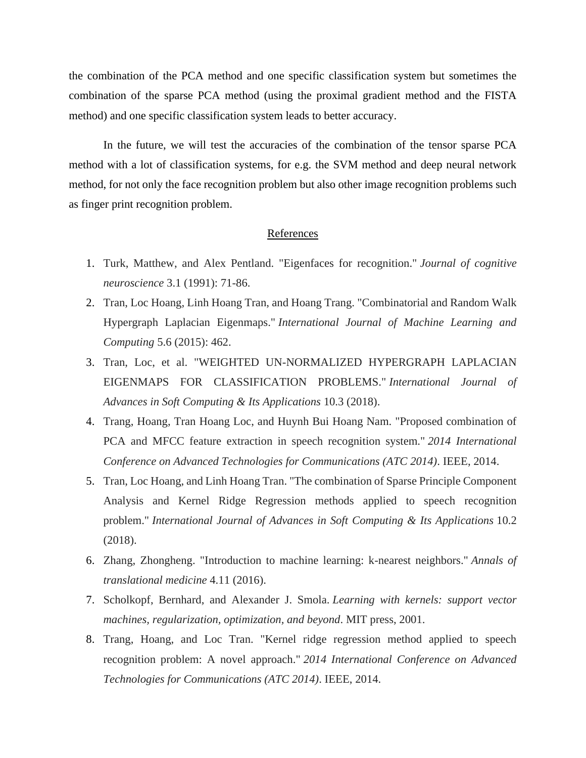the combination of the PCA method and one specific classification system but sometimes the combination of the sparse PCA method (using the proximal gradient method and the FISTA method) and one specific classification system leads to better accuracy.

In the future, we will test the accuracies of the combination of the tensor sparse PCA method with a lot of classification systems, for e.g. the SVM method and deep neural network method, for not only the face recognition problem but also other image recognition problems such as finger print recognition problem.

# References

- 1. Turk, Matthew, and Alex Pentland. "Eigenfaces for recognition." *Journal of cognitive neuroscience* 3.1 (1991): 71-86.
- 2. Tran, Loc Hoang, Linh Hoang Tran, and Hoang Trang. "Combinatorial and Random Walk Hypergraph Laplacian Eigenmaps." *International Journal of Machine Learning and Computing* 5.6 (2015): 462.
- 3. Tran, Loc, et al. "WEIGHTED UN-NORMALIZED HYPERGRAPH LAPLACIAN EIGENMAPS FOR CLASSIFICATION PROBLEMS." *International Journal of Advances in Soft Computing & Its Applications* 10.3 (2018).
- 4. Trang, Hoang, Tran Hoang Loc, and Huynh Bui Hoang Nam. "Proposed combination of PCA and MFCC feature extraction in speech recognition system." *2014 International Conference on Advanced Technologies for Communications (ATC 2014)*. IEEE, 2014.
- 5. Tran, Loc Hoang, and Linh Hoang Tran. "The combination of Sparse Principle Component Analysis and Kernel Ridge Regression methods applied to speech recognition problem." *International Journal of Advances in Soft Computing & Its Applications* 10.2 (2018).
- 6. Zhang, Zhongheng. "Introduction to machine learning: k-nearest neighbors." *Annals of translational medicine* 4.11 (2016).
- 7. Scholkopf, Bernhard, and Alexander J. Smola. *Learning with kernels: support vector machines, regularization, optimization, and beyond*. MIT press, 2001.
- 8. Trang, Hoang, and Loc Tran. "Kernel ridge regression method applied to speech recognition problem: A novel approach." *2014 International Conference on Advanced Technologies for Communications (ATC 2014)*. IEEE, 2014.